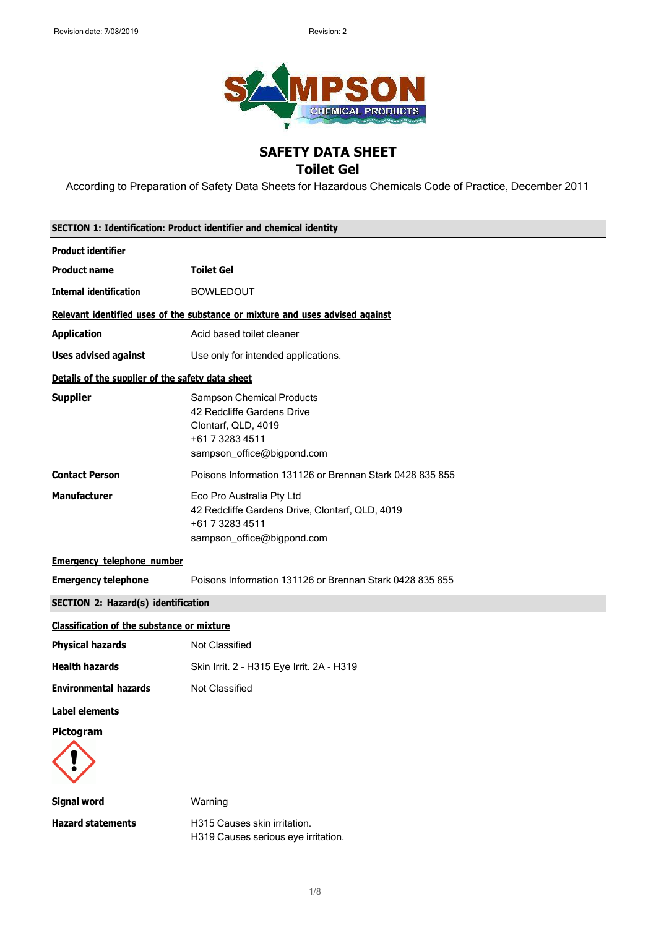

# **SAFETY DATA SHEET**

## **Toilet Gel**

According to Preparation of Safety Data Sheets for Hazardous Chemicals Code of Practice, December 2011

| <b>SECTION 1: Identification: Product identifier and chemical identity</b> |                                                                                                                                        |
|----------------------------------------------------------------------------|----------------------------------------------------------------------------------------------------------------------------------------|
| <b>Product identifier</b>                                                  |                                                                                                                                        |
| <b>Product name</b>                                                        | <b>Toilet Gel</b>                                                                                                                      |
| <b>Internal identification</b>                                             | <b>BOWLEDOUT</b>                                                                                                                       |
|                                                                            | Relevant identified uses of the substance or mixture and uses advised against                                                          |
| <b>Application</b>                                                         | Acid based toilet cleaner                                                                                                              |
| <b>Uses advised against</b>                                                | Use only for intended applications.                                                                                                    |
| Details of the supplier of the safety data sheet                           |                                                                                                                                        |
| <b>Supplier</b>                                                            | <b>Sampson Chemical Products</b><br>42 Redcliffe Gardens Drive<br>Clontarf, QLD, 4019<br>+61 7 3283 4511<br>sampson_office@bigpond.com |
| <b>Contact Person</b>                                                      | Poisons Information 131126 or Brennan Stark 0428 835 855                                                                               |
| <b>Manufacturer</b>                                                        | Eco Pro Australia Pty Ltd<br>42 Redcliffe Gardens Drive, Clontarf, QLD, 4019<br>+61 7 3283 4511<br>sampson_office@bigpond.com          |
| <b>Emergency telephone number</b>                                          |                                                                                                                                        |
| <b>Emergency telephone</b>                                                 | Poisons Information 131126 or Brennan Stark 0428 835 855                                                                               |
| <b>SECTION 2: Hazard(s) identification</b>                                 |                                                                                                                                        |
| <b>Classification of the substance or mixture</b>                          |                                                                                                                                        |
| <b>Physical hazards</b>                                                    | Not Classified                                                                                                                         |
| <b>Health hazards</b>                                                      | Skin Irrit. 2 - H315 Eye Irrit. 2A - H319                                                                                              |
| <b>Environmental hazards</b>                                               | Not Classified                                                                                                                         |
| <b>Label elements</b>                                                      |                                                                                                                                        |
| Pictogram                                                                  |                                                                                                                                        |
| <b>Signal word</b>                                                         | Warning                                                                                                                                |
| <b>Hazard statements</b>                                                   | H315 Causes skin irritation.                                                                                                           |

H319 Causes serious eye irritation.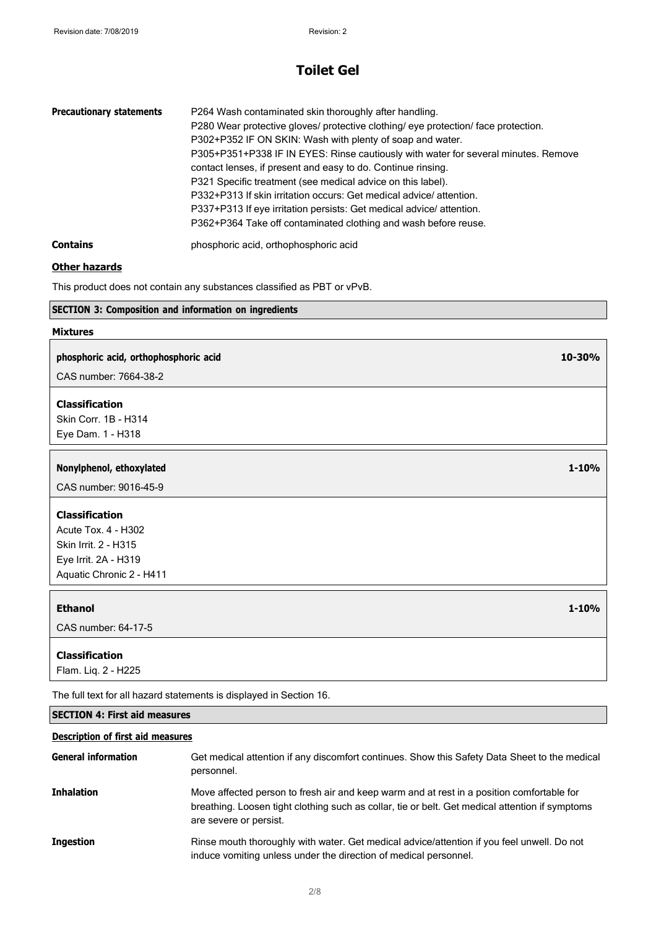| <b>Precautionary statements</b> | P264 Wash contaminated skin thoroughly after handling.<br>P280 Wear protective gloves/ protective clothing/ eye protection/ face protection.<br>P302+P352 IF ON SKIN: Wash with plenty of soap and water.<br>P305+P351+P338 IF IN EYES: Rinse cautiously with water for several minutes. Remove<br>contact lenses, if present and easy to do. Continue rinsing.<br>P321 Specific treatment (see medical advice on this label).<br>P332+P313 If skin irritation occurs: Get medical advice/attention.<br>P337+P313 If eye irritation persists: Get medical advice/attention.<br>P362+P364 Take off contaminated clothing and wash before reuse. |
|---------------------------------|------------------------------------------------------------------------------------------------------------------------------------------------------------------------------------------------------------------------------------------------------------------------------------------------------------------------------------------------------------------------------------------------------------------------------------------------------------------------------------------------------------------------------------------------------------------------------------------------------------------------------------------------|
| <b>Contains</b>                 | phosphoric acid, orthophosphoric acid                                                                                                                                                                                                                                                                                                                                                                                                                                                                                                                                                                                                          |

#### **Other hazards**

This product does not contain any substances classified as PBT or vPvB.

#### **SECTION 3: Composition and information on ingredients**

#### **Mixtures**

#### **phosphoric acid, orthophosphoric acid 10-30%**

CAS number: 7664-38-2

#### **Classification**

Skin Corr. 1B - H314 Eye Dam. 1 - H318

#### **Nonylphenol, ethoxylated 1-10%**

CAS number: 9016-45-9

### **Classification**

Acute Tox. 4 - H302 Skin Irrit. 2 - H315 Eye Irrit. 2A - H319 Aquatic Chronic 2 - H411

#### **Ethanol 1-10%**

CAS number: 64-17-5

#### **Classification**

Flam. Liq. 2 - H225

The full text for all hazard statements is displayed in Section 16.

#### **SECTION 4: First aid measures**

#### **Description of first aid measures**

| <b>General information</b> | Get medical attention if any discomfort continues. Show this Safety Data Sheet to the medical<br>personnel.                                                                                                            |
|----------------------------|------------------------------------------------------------------------------------------------------------------------------------------------------------------------------------------------------------------------|
| <b>Inhalation</b>          | Move affected person to fresh air and keep warm and at rest in a position comfortable for<br>breathing. Loosen tight clothing such as collar, tie or belt. Get medical attention if symptoms<br>are severe or persist. |
| <b>Ingestion</b>           | Rinse mouth thoroughly with water. Get medical advice/attention if you feel unwell. Do not<br>induce vomiting unless under the direction of medical personnel.                                                         |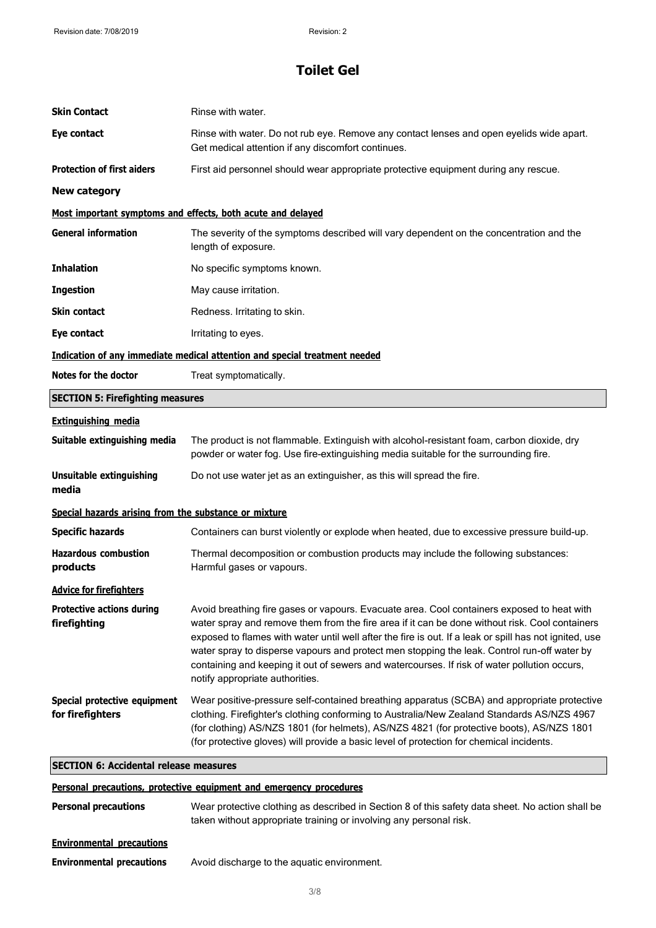| <b>Skin Contact</b>                                   | Rinse with water.                                                                                                                                                                                                                                                                                                                                                                                                                                                                                                                        |
|-------------------------------------------------------|------------------------------------------------------------------------------------------------------------------------------------------------------------------------------------------------------------------------------------------------------------------------------------------------------------------------------------------------------------------------------------------------------------------------------------------------------------------------------------------------------------------------------------------|
| Eye contact                                           | Rinse with water. Do not rub eye. Remove any contact lenses and open eyelids wide apart.<br>Get medical attention if any discomfort continues.                                                                                                                                                                                                                                                                                                                                                                                           |
| <b>Protection of first aiders</b>                     | First aid personnel should wear appropriate protective equipment during any rescue.                                                                                                                                                                                                                                                                                                                                                                                                                                                      |
| <b>New category</b>                                   |                                                                                                                                                                                                                                                                                                                                                                                                                                                                                                                                          |
|                                                       | Most important symptoms and effects, both acute and delayed                                                                                                                                                                                                                                                                                                                                                                                                                                                                              |
| <b>General information</b>                            | The severity of the symptoms described will vary dependent on the concentration and the<br>length of exposure.                                                                                                                                                                                                                                                                                                                                                                                                                           |
| <b>Inhalation</b>                                     | No specific symptoms known.                                                                                                                                                                                                                                                                                                                                                                                                                                                                                                              |
| <b>Ingestion</b>                                      | May cause irritation.                                                                                                                                                                                                                                                                                                                                                                                                                                                                                                                    |
| <b>Skin contact</b>                                   | Redness. Irritating to skin.                                                                                                                                                                                                                                                                                                                                                                                                                                                                                                             |
| Eye contact                                           | Irritating to eyes.                                                                                                                                                                                                                                                                                                                                                                                                                                                                                                                      |
|                                                       | Indication of any immediate medical attention and special treatment needed                                                                                                                                                                                                                                                                                                                                                                                                                                                               |
| Notes for the doctor                                  | Treat symptomatically.                                                                                                                                                                                                                                                                                                                                                                                                                                                                                                                   |
| <b>SECTION 5: Firefighting measures</b>               |                                                                                                                                                                                                                                                                                                                                                                                                                                                                                                                                          |
| <b>Extinguishing media</b>                            |                                                                                                                                                                                                                                                                                                                                                                                                                                                                                                                                          |
| Suitable extinguishing media                          | The product is not flammable. Extinguish with alcohol-resistant foam, carbon dioxide, dry<br>powder or water fog. Use fire-extinguishing media suitable for the surrounding fire.                                                                                                                                                                                                                                                                                                                                                        |
| <b>Unsuitable extinguishing</b><br>media              | Do not use water jet as an extinguisher, as this will spread the fire.                                                                                                                                                                                                                                                                                                                                                                                                                                                                   |
| Special hazards arising from the substance or mixture |                                                                                                                                                                                                                                                                                                                                                                                                                                                                                                                                          |
| <b>Specific hazards</b>                               | Containers can burst violently or explode when heated, due to excessive pressure build-up.                                                                                                                                                                                                                                                                                                                                                                                                                                               |
| <b>Hazardous combustion</b><br>products               | Thermal decomposition or combustion products may include the following substances:<br>Harmful gases or vapours.                                                                                                                                                                                                                                                                                                                                                                                                                          |
| <b>Advice for firefighters</b>                        |                                                                                                                                                                                                                                                                                                                                                                                                                                                                                                                                          |
| <b>Protective actions during</b><br>firefighting      | Avoid breathing fire gases or vapours. Evacuate area. Cool containers exposed to heat with<br>water spray and remove them from the fire area if it can be done without risk. Cool containers<br>exposed to flames with water until well after the fire is out. If a leak or spill has not ignited, use<br>water spray to disperse vapours and protect men stopping the leak. Control run-off water by<br>containing and keeping it out of sewers and watercourses. If risk of water pollution occurs,<br>notify appropriate authorities. |
| Special protective equipment<br>for firefighters      | Wear positive-pressure self-contained breathing apparatus (SCBA) and appropriate protective<br>clothing. Firefighter's clothing conforming to Australia/New Zealand Standards AS/NZS 4967<br>(for clothing) AS/NZS 1801 (for helmets), AS/NZS 4821 (for protective boots), AS/NZS 1801<br>(for protective gloves) will provide a basic level of protection for chemical incidents.                                                                                                                                                       |
| <b>SECTION 6: Accidental release measures</b>         |                                                                                                                                                                                                                                                                                                                                                                                                                                                                                                                                          |
|                                                       |                                                                                                                                                                                                                                                                                                                                                                                                                                                                                                                                          |

#### **Personal precautions, protective equipment and emergency procedures**

| <b>Personal precautions</b>      | Wear protective clothing as described in Section 8 of this safety data sheet. No action shall be<br>taken without appropriate training or involving any personal risk. |
|----------------------------------|------------------------------------------------------------------------------------------------------------------------------------------------------------------------|
| <b>Environmental precautions</b> |                                                                                                                                                                        |
| <b>Environmental precautions</b> | Avoid discharge to the aquatic environment.                                                                                                                            |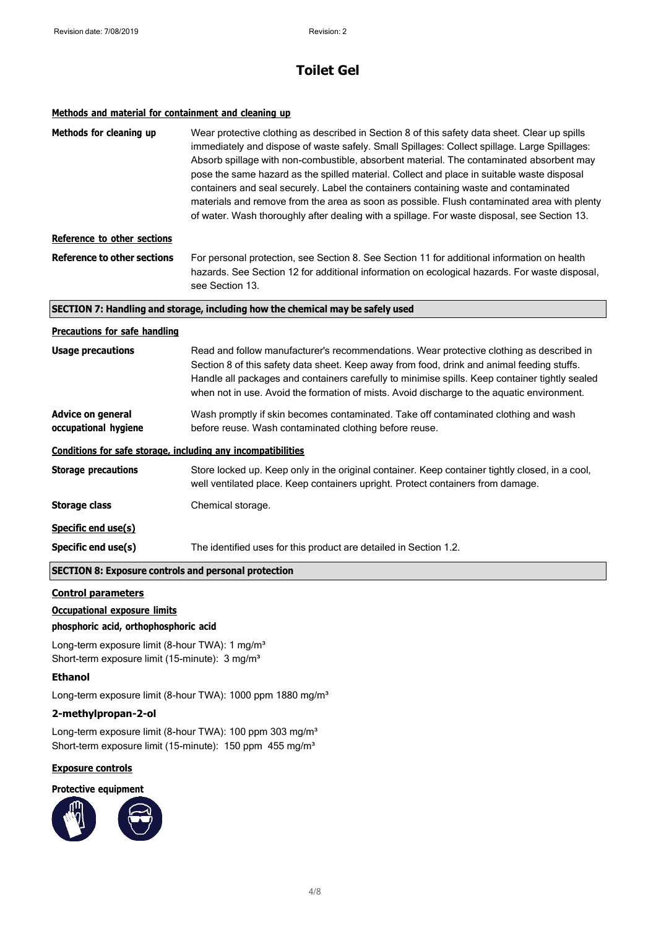#### **Methods and material for containment and cleaning up**

| Methods for cleaning up                                      | Wear protective clothing as described in Section 8 of this safety data sheet. Clear up spills<br>immediately and dispose of waste safely. Small Spillages: Collect spillage. Large Spillages:<br>Absorb spillage with non-combustible, absorbent material. The contaminated absorbent may<br>pose the same hazard as the spilled material. Collect and place in suitable waste disposal<br>containers and seal securely. Label the containers containing waste and contaminated<br>materials and remove from the area as soon as possible. Flush contaminated area with plenty |
|--------------------------------------------------------------|--------------------------------------------------------------------------------------------------------------------------------------------------------------------------------------------------------------------------------------------------------------------------------------------------------------------------------------------------------------------------------------------------------------------------------------------------------------------------------------------------------------------------------------------------------------------------------|
|                                                              | of water. Wash thoroughly after dealing with a spillage. For waste disposal, see Section 13.                                                                                                                                                                                                                                                                                                                                                                                                                                                                                   |
| <b>Reference to other sections</b>                           |                                                                                                                                                                                                                                                                                                                                                                                                                                                                                                                                                                                |
| <b>Reference to other sections</b>                           | For personal protection, see Section 8. See Section 11 for additional information on health<br>hazards. See Section 12 for additional information on ecological hazards. For waste disposal,<br>see Section 13.                                                                                                                                                                                                                                                                                                                                                                |
|                                                              | SECTION 7: Handling and storage, including how the chemical may be safely used                                                                                                                                                                                                                                                                                                                                                                                                                                                                                                 |
| <b>Precautions for safe handling</b>                         |                                                                                                                                                                                                                                                                                                                                                                                                                                                                                                                                                                                |
| <b>Usage precautions</b>                                     | Read and follow manufacturer's recommendations. Wear protective clothing as described in<br>Section 8 of this safety data sheet. Keep away from food, drink and animal feeding stuffs.<br>Handle all packages and containers carefully to minimise spills. Keep container tightly sealed<br>when not in use. Avoid the formation of mists. Avoid discharge to the aquatic environment.                                                                                                                                                                                         |
| <b>Advice on general</b><br>occupational hygiene             | Wash promptly if skin becomes contaminated. Take off contaminated clothing and wash<br>before reuse. Wash contaminated clothing before reuse.                                                                                                                                                                                                                                                                                                                                                                                                                                  |
| Conditions for safe storage, including any incompatibilities |                                                                                                                                                                                                                                                                                                                                                                                                                                                                                                                                                                                |
| <b>Storage precautions</b>                                   | Store locked up. Keep only in the original container. Keep container tightly closed, in a cool,<br>well ventilated place. Keep containers upright. Protect containers from damage.                                                                                                                                                                                                                                                                                                                                                                                             |
| <b>Storage class</b>                                         | Chemical storage.                                                                                                                                                                                                                                                                                                                                                                                                                                                                                                                                                              |
| Specific end use(s)                                          |                                                                                                                                                                                                                                                                                                                                                                                                                                                                                                                                                                                |
| Specific end use(s)                                          | The identified uses for this product are detailed in Section 1.2.                                                                                                                                                                                                                                                                                                                                                                                                                                                                                                              |
| <b>SECTION 8: Exposure controls and personal protection</b>  |                                                                                                                                                                                                                                                                                                                                                                                                                                                                                                                                                                                |
| <b>Control parameters</b>                                    |                                                                                                                                                                                                                                                                                                                                                                                                                                                                                                                                                                                |

#### **Occupational exposure limits**

#### **phosphoric acid, orthophosphoric acid**

Long-term exposure limit (8-hour TWA): 1 mg/m<sup>3</sup> Short-term exposure limit (15-minute): 3 mg/m<sup>3</sup>

#### **Ethanol**

Long-term exposure limit (8-hour TWA): 1000 ppm 1880 mg/m<sup>3</sup>

#### **2-methylpropan-2-ol**

Long-term exposure limit (8-hour TWA): 100 ppm 303 mg/m<sup>3</sup> Short-term exposure limit (15-minute): 150 ppm 455 mg/m<sup>3</sup>

### **Exposure controls**

**Protective equipment**

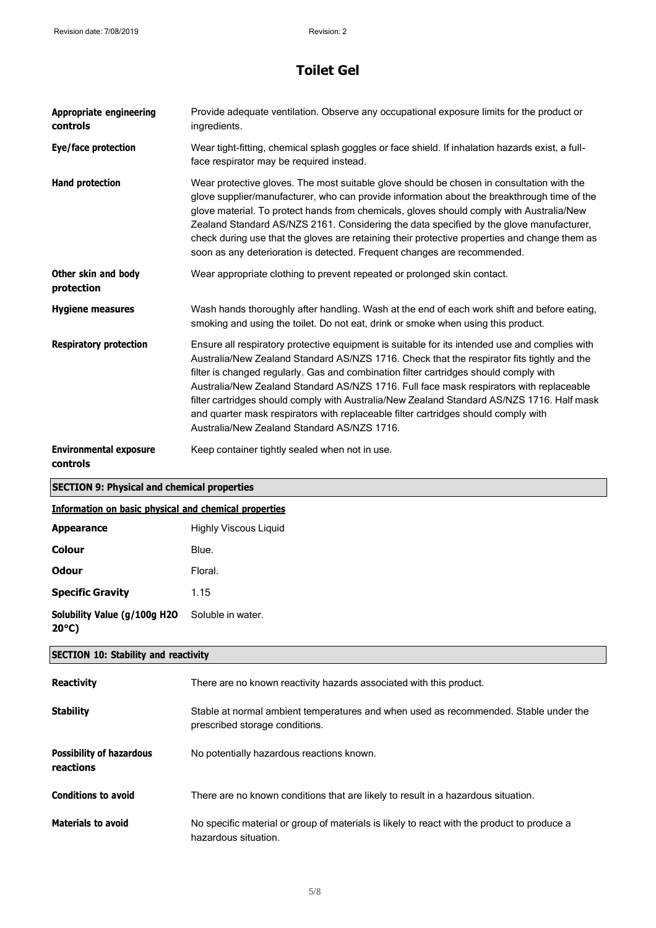| <b>Appropriate engineering</b><br>controls            | Provide adequate ventilation. Observe any occupational exposure limits for the product or<br>ingredients.                                                                                                                                                                                                                                                                                                                                                                                                                                                                                                           |
|-------------------------------------------------------|---------------------------------------------------------------------------------------------------------------------------------------------------------------------------------------------------------------------------------------------------------------------------------------------------------------------------------------------------------------------------------------------------------------------------------------------------------------------------------------------------------------------------------------------------------------------------------------------------------------------|
| Eye/face protection                                   | Wear tight-fitting, chemical splash goggles or face shield. If inhalation hazards exist, a full-<br>face respirator may be required instead.                                                                                                                                                                                                                                                                                                                                                                                                                                                                        |
| <b>Hand protection</b>                                | Wear protective gloves. The most suitable glove should be chosen in consultation with the<br>glove supplier/manufacturer, who can provide information about the breakthrough time of the<br>glove material. To protect hands from chemicals, gloves should comply with Australia/New<br>Zealand Standard AS/NZS 2161. Considering the data specified by the glove manufacturer,<br>check during use that the gloves are retaining their protective properties and change them as<br>soon as any deterioration is detected. Frequent changes are recommended.                                                        |
| Other skin and body<br>protection                     | Wear appropriate clothing to prevent repeated or prolonged skin contact.                                                                                                                                                                                                                                                                                                                                                                                                                                                                                                                                            |
| <b>Hygiene measures</b>                               | Wash hands thoroughly after handling. Wash at the end of each work shift and before eating,<br>smoking and using the toilet. Do not eat, drink or smoke when using this product.                                                                                                                                                                                                                                                                                                                                                                                                                                    |
| <b>Respiratory protection</b>                         | Ensure all respiratory protective equipment is suitable for its intended use and complies with<br>Australia/New Zealand Standard AS/NZS 1716. Check that the respirator fits tightly and the<br>filter is changed regularly. Gas and combination filter cartridges should comply with<br>Australia/New Zealand Standard AS/NZS 1716. Full face mask respirators with replaceable<br>filter cartridges should comply with Australia/New Zealand Standard AS/NZS 1716. Half mask<br>and quarter mask respirators with replaceable filter cartridges should comply with<br>Australia/New Zealand Standard AS/NZS 1716. |
| <b>Environmental exposure</b><br>controls             | Keep container tightly sealed when not in use.                                                                                                                                                                                                                                                                                                                                                                                                                                                                                                                                                                      |
| <b>SECTION 9: Physical and chemical properties</b>    |                                                                                                                                                                                                                                                                                                                                                                                                                                                                                                                                                                                                                     |
| Information on basic physical and chemical properties |                                                                                                                                                                                                                                                                                                                                                                                                                                                                                                                                                                                                                     |
| <b>Appearance</b>                                     | <b>Highly Viscous Liquid</b>                                                                                                                                                                                                                                                                                                                                                                                                                                                                                                                                                                                        |
| <b>Colour</b>                                         | Blue.                                                                                                                                                                                                                                                                                                                                                                                                                                                                                                                                                                                                               |
| <b>Odour</b>                                          | Floral.                                                                                                                                                                                                                                                                                                                                                                                                                                                                                                                                                                                                             |
| <b>Specific Gravity</b>                               | 1.15                                                                                                                                                                                                                                                                                                                                                                                                                                                                                                                                                                                                                |
| Solubility Value (g/100g H2O<br>$20^{\circ}$ C)       |                                                                                                                                                                                                                                                                                                                                                                                                                                                                                                                                                                                                                     |
|                                                       | Soluble in water.                                                                                                                                                                                                                                                                                                                                                                                                                                                                                                                                                                                                   |
| <b>SECTION 10: Stability and reactivity</b>           |                                                                                                                                                                                                                                                                                                                                                                                                                                                                                                                                                                                                                     |
| <b>Reactivity</b>                                     | There are no known reactivity hazards associated with this product.                                                                                                                                                                                                                                                                                                                                                                                                                                                                                                                                                 |
| <b>Stability</b>                                      | Stable at normal ambient temperatures and when used as recommended. Stable under the<br>prescribed storage conditions.                                                                                                                                                                                                                                                                                                                                                                                                                                                                                              |
| <b>Possibility of hazardous</b><br>reactions          | No potentially hazardous reactions known.                                                                                                                                                                                                                                                                                                                                                                                                                                                                                                                                                                           |

**Materials to avoid** No specific material or group of materials is likely to react with the product to produce a hazardous situation.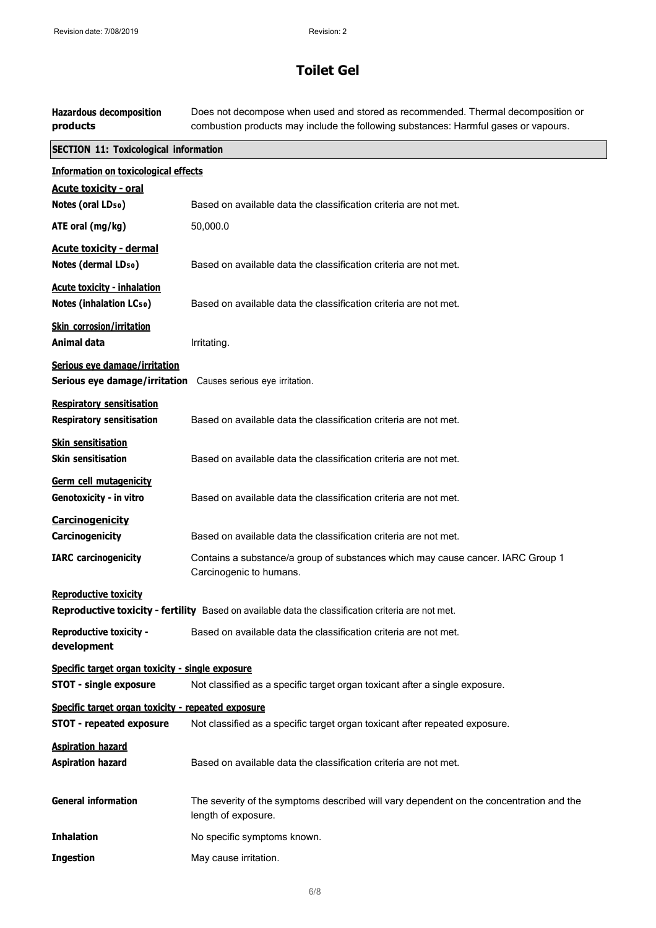| <b>Hazardous decomposition</b><br>products                           | Does not decompose when used and stored as recommended. Thermal decomposition or<br>combustion products may include the following substances: Harmful gases or vapours. |
|----------------------------------------------------------------------|-------------------------------------------------------------------------------------------------------------------------------------------------------------------------|
| <b>SECTION 11: Toxicological information</b>                         |                                                                                                                                                                         |
| <b>Information on toxicological effects</b>                          |                                                                                                                                                                         |
| <b>Acute toxicity - oral</b>                                         |                                                                                                                                                                         |
| Notes (oral LD <sub>50</sub> )                                       | Based on available data the classification criteria are not met.                                                                                                        |
| ATE oral (mg/kg)                                                     | 50,000.0                                                                                                                                                                |
| <b>Acute toxicity - dermal</b><br>Notes (dermal LD <sub>50</sub> )   | Based on available data the classification criteria are not met.                                                                                                        |
| <b>Acute toxicity - inhalation</b><br><b>Notes (inhalation LCso)</b> | Based on available data the classification criteria are not met.                                                                                                        |
| Skin corrosion/irritation<br><b>Animal data</b>                      | Irritating.                                                                                                                                                             |
| Serious eye damage/irritation<br>Serious eye damage/irritation       | Causes serious eye irritation.                                                                                                                                          |
| <b>Respiratory sensitisation</b><br><b>Respiratory sensitisation</b> | Based on available data the classification criteria are not met.                                                                                                        |
| <b>Skin sensitisation</b><br><b>Skin sensitisation</b>               | Based on available data the classification criteria are not met.                                                                                                        |
| Germ cell mutagenicity<br>Genotoxicity - in vitro                    | Based on available data the classification criteria are not met.                                                                                                        |
| <b>Carcinogenicity</b><br>Carcinogenicity                            | Based on available data the classification criteria are not met.                                                                                                        |
| <b>IARC</b> carcinogenicity                                          | Contains a substance/a group of substances which may cause cancer. IARC Group 1<br>Carcinogenic to humans.                                                              |
| <b>Reproductive toxicity</b>                                         | Reproductive toxicity - fertility Based on available data the classification criteria are not met.                                                                      |
| <b>Reproductive toxicity -</b><br>development                        | Based on available data the classification criteria are not met.                                                                                                        |
| Specific target organ toxicity - single exposure                     |                                                                                                                                                                         |
| <b>STOT - single exposure</b>                                        | Not classified as a specific target organ toxicant after a single exposure.                                                                                             |
| Specific target organ toxicity - repeated exposure                   |                                                                                                                                                                         |
| <b>STOT - repeated exposure</b>                                      | Not classified as a specific target organ toxicant after repeated exposure.                                                                                             |
| <b>Aspiration hazard</b><br><b>Aspiration hazard</b>                 | Based on available data the classification criteria are not met.                                                                                                        |
| <b>General information</b>                                           | The severity of the symptoms described will vary dependent on the concentration and the<br>length of exposure.                                                          |
| <b>Inhalation</b>                                                    | No specific symptoms known.                                                                                                                                             |
| <b>Ingestion</b>                                                     | May cause irritation.                                                                                                                                                   |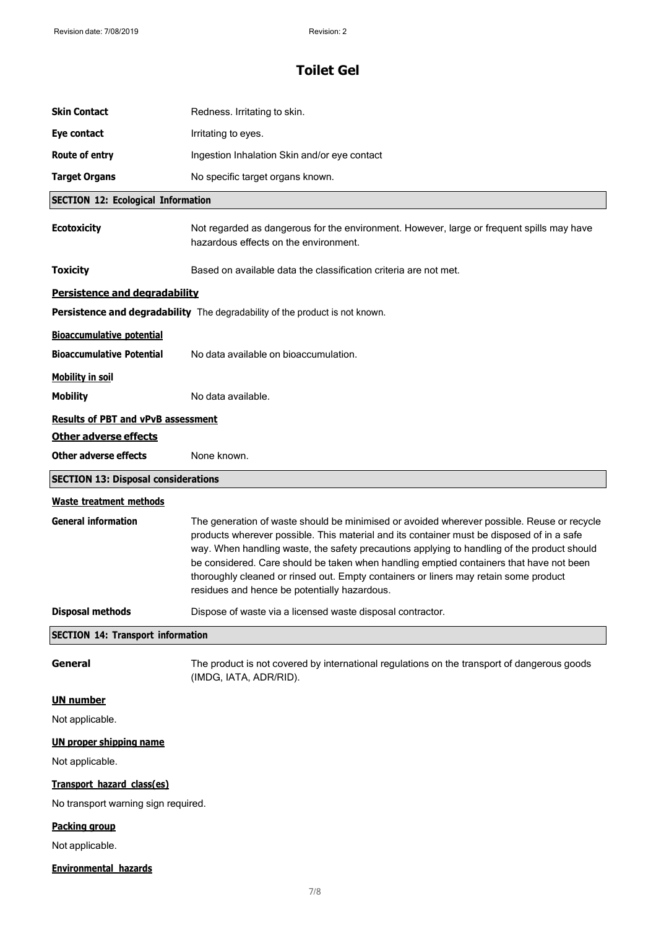| <b>Skin Contact</b>                        | Redness. Irritating to skin.                                                                                                                                                                                                                                                                                                   |
|--------------------------------------------|--------------------------------------------------------------------------------------------------------------------------------------------------------------------------------------------------------------------------------------------------------------------------------------------------------------------------------|
| Eye contact                                | Irritating to eyes.                                                                                                                                                                                                                                                                                                            |
| Route of entry                             | Ingestion Inhalation Skin and/or eye contact                                                                                                                                                                                                                                                                                   |
| <b>Target Organs</b>                       | No specific target organs known.                                                                                                                                                                                                                                                                                               |
| <b>SECTION 12: Ecological Information</b>  |                                                                                                                                                                                                                                                                                                                                |
| <b>Ecotoxicity</b>                         | Not regarded as dangerous for the environment. However, large or frequent spills may have<br>hazardous effects on the environment.                                                                                                                                                                                             |
| <b>Toxicity</b>                            | Based on available data the classification criteria are not met.                                                                                                                                                                                                                                                               |
| <b>Persistence and degradability</b>       |                                                                                                                                                                                                                                                                                                                                |
|                                            | <b>Persistence and degradability</b> The degradability of the product is not known.                                                                                                                                                                                                                                            |
| <b>Bioaccumulative potential</b>           |                                                                                                                                                                                                                                                                                                                                |
| <b>Bioaccumulative Potential</b>           | No data available on bioaccumulation.                                                                                                                                                                                                                                                                                          |
| <b>Mobility in soil</b>                    |                                                                                                                                                                                                                                                                                                                                |
| <b>Mobility</b>                            | No data available.                                                                                                                                                                                                                                                                                                             |
| <b>Results of PBT and vPvB assessment</b>  |                                                                                                                                                                                                                                                                                                                                |
| <b>Other adverse effects</b>               |                                                                                                                                                                                                                                                                                                                                |
| <b>Other adverse effects</b>               | None known.                                                                                                                                                                                                                                                                                                                    |
| <b>SECTION 13: Disposal considerations</b> |                                                                                                                                                                                                                                                                                                                                |
| <b>Waste treatment methods</b>             |                                                                                                                                                                                                                                                                                                                                |
| <b>General information</b>                 | The generation of waste should be minimised or avoided wherever possible. Reuse or recycle<br>products wherever possible. This material and its container must be disposed of in a safe                                                                                                                                        |
|                                            | way. When handling waste, the safety precautions applying to handling of the product should<br>be considered. Care should be taken when handling emptied containers that have not been<br>thoroughly cleaned or rinsed out. Empty containers or liners may retain some product<br>residues and hence be potentially hazardous. |
| <b>Disposal methods</b>                    | Dispose of waste via a licensed waste disposal contractor.                                                                                                                                                                                                                                                                     |
| <b>SECTION 14: Transport information</b>   |                                                                                                                                                                                                                                                                                                                                |
| <b>General</b>                             | The product is not covered by international regulations on the transport of dangerous goods<br>(IMDG, IATA, ADR/RID).                                                                                                                                                                                                          |
| <b>UN number</b>                           |                                                                                                                                                                                                                                                                                                                                |
| Not applicable.                            |                                                                                                                                                                                                                                                                                                                                |
| <b>UN proper shipping name</b>             |                                                                                                                                                                                                                                                                                                                                |
| Not applicable.                            |                                                                                                                                                                                                                                                                                                                                |
| Transport hazard class(es)                 |                                                                                                                                                                                                                                                                                                                                |
| No transport warning sign required.        |                                                                                                                                                                                                                                                                                                                                |
| <b>Packing group</b>                       |                                                                                                                                                                                                                                                                                                                                |
| Not applicable.                            |                                                                                                                                                                                                                                                                                                                                |